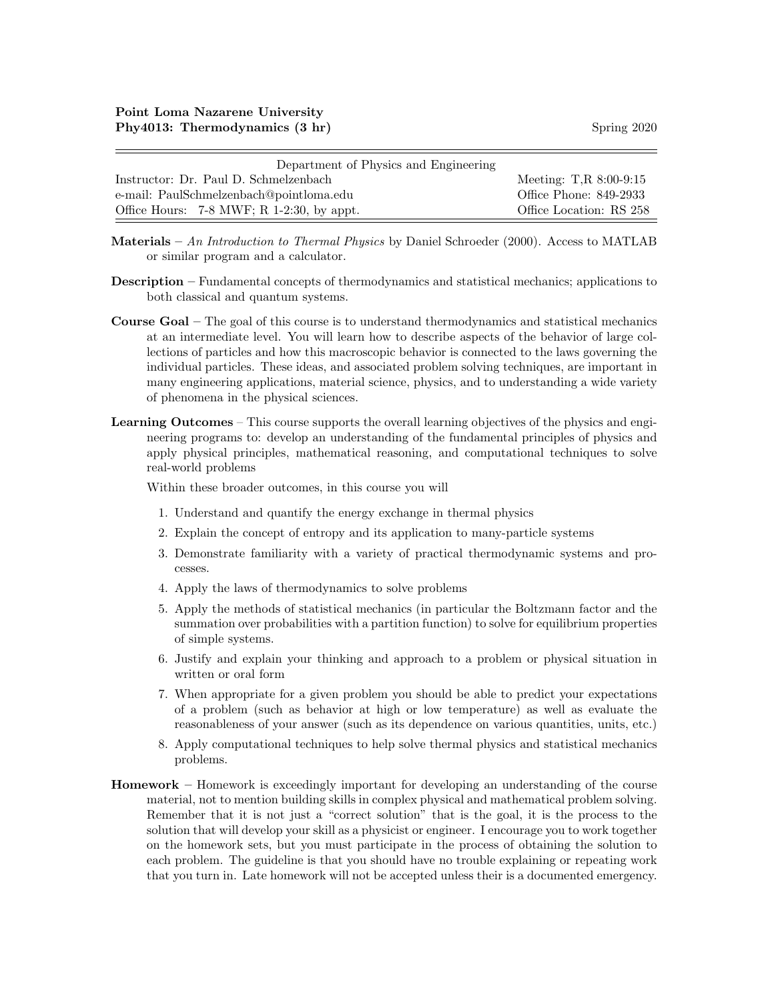| Department of Physics and Engineering     |                             |
|-------------------------------------------|-----------------------------|
| Instructor: Dr. Paul D. Schmelzenbach     | Meeting: $T, R \ 8:00-9:15$ |
| e-mail: PaulSchmelzenbach@pointloma.edu   | Office Phone: 849-2933      |
| Office Hours: 7-8 MWF; R 1-2:30, by appt. | Office Location: RS 258     |

- Materials An Introduction to Thermal Physics by Daniel Schroeder  $(2000)$ . Access to MATLAB or similar program and a calculator.
- Description Fundamental concepts of thermodynamics and statistical mechanics; applications to both classical and quantum systems.
- Course Goal The goal of this course is to understand thermodynamics and statistical mechanics at an intermediate level. You will learn how to describe aspects of the behavior of large collections of particles and how this macroscopic behavior is connected to the laws governing the individual particles. These ideas, and associated problem solving techniques, are important in many engineering applications, material science, physics, and to understanding a wide variety of phenomena in the physical sciences.
- Learning Outcomes This course supports the overall learning objectives of the physics and engineering programs to: develop an understanding of the fundamental principles of physics and apply physical principles, mathematical reasoning, and computational techniques to solve real-world problems

Within these broader outcomes, in this course you will

- 1. Understand and quantify the energy exchange in thermal physics
- 2. Explain the concept of entropy and its application to many-particle systems
- 3. Demonstrate familiarity with a variety of practical thermodynamic systems and processes.
- 4. Apply the laws of thermodynamics to solve problems
- 5. Apply the methods of statistical mechanics (in particular the Boltzmann factor and the summation over probabilities with a partition function) to solve for equilibrium properties of simple systems.
- 6. Justify and explain your thinking and approach to a problem or physical situation in written or oral form
- 7. When appropriate for a given problem you should be able to predict your expectations of a problem (such as behavior at high or low temperature) as well as evaluate the reasonableness of your answer (such as its dependence on various quantities, units, etc.)
- 8. Apply computational techniques to help solve thermal physics and statistical mechanics problems.
- Homework Homework is exceedingly important for developing an understanding of the course material, not to mention building skills in complex physical and mathematical problem solving. Remember that it is not just a "correct solution" that is the goal, it is the process to the solution that will develop your skill as a physicist or engineer. I encourage you to work together on the homework sets, but you must participate in the process of obtaining the solution to each problem. The guideline is that you should have no trouble explaining or repeating work that you turn in. Late homework will not be accepted unless their is a documented emergency.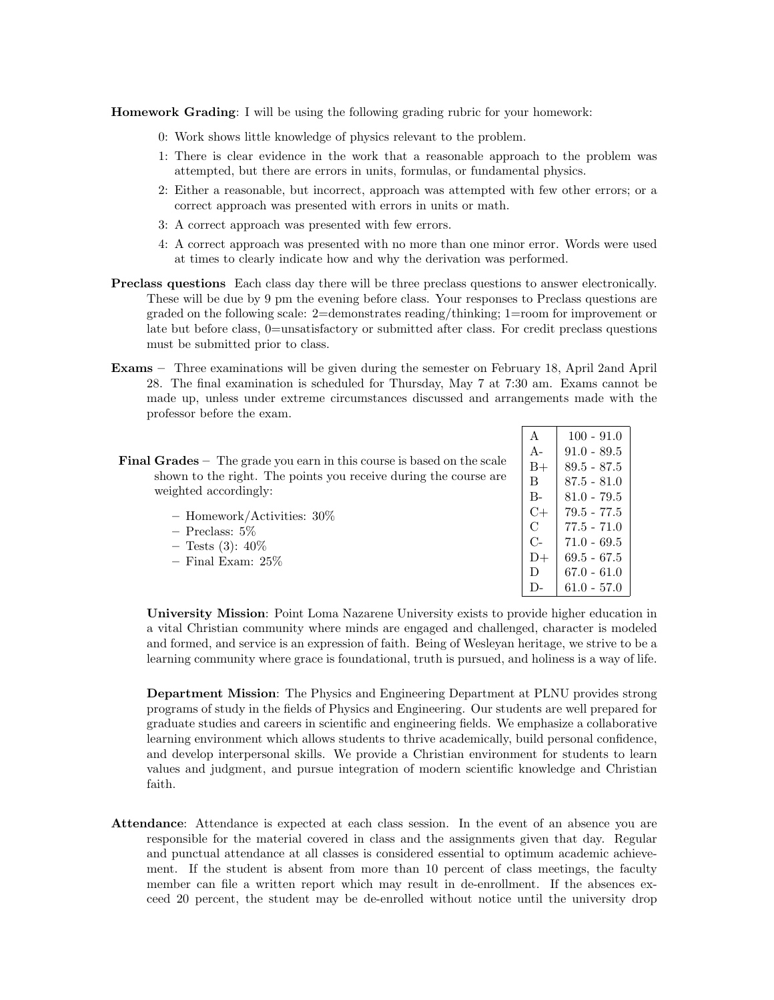Homework Grading: I will be using the following grading rubric for your homework:

- 0: Work shows little knowledge of physics relevant to the problem.
- 1: There is clear evidence in the work that a reasonable approach to the problem was attempted, but there are errors in units, formulas, or fundamental physics.
- 2: Either a reasonable, but incorrect, approach was attempted with few other errors; or a correct approach was presented with errors in units or math.
- 3: A correct approach was presented with few errors.
- 4: A correct approach was presented with no more than one minor error. Words were used at times to clearly indicate how and why the derivation was performed.
- Preclass questions Each class day there will be three preclass questions to answer electronically. These will be due by 9 pm the evening before class. Your responses to Preclass questions are graded on the following scale: 2=demonstrates reading/thinking; 1=room for improvement or late but before class, 0=unsatisfactory or submitted after class. For credit preclass questions must be submitted prior to class.
- Exams Three examinations will be given during the semester on February 18, April 2and April 28. The final examination is scheduled for Thursday, May 7 at 7:30 am. Exams cannot be made up, unless under extreme circumstances discussed and arrangements made with the professor before the exam.

|                                                                               | А             | $100 - 91.0$  |
|-------------------------------------------------------------------------------|---------------|---------------|
|                                                                               | $A-$          | $91.0 - 89.5$ |
| <b>Final Grades</b> – The grade you earn in this course is based on the scale | $B+$          | $89.5 - 87.5$ |
| shown to the right. The points you receive during the course are              | B             | $87.5 - 81.0$ |
| weighted accordingly:                                                         | $B -$         | $81.0 - 79.5$ |
| - Homework/Activities: $30\%$                                                 | $C+$          | $79.5 - 77.5$ |
| $-$ Preclass: 5\%                                                             | $\mathcal{C}$ | $77.5 - 71.0$ |
| $-$ Tests (3): 40\%                                                           | $C$ -         | $71.0 - 69.5$ |
| $-$ Final Exam: $25\%$                                                        | $D+$          | $69.5 - 67.5$ |
|                                                                               | D             | $67.0 - 61.0$ |
|                                                                               |               | $61.0 - 57.0$ |

University Mission: Point Loma Nazarene University exists to provide higher education in a vital Christian community where minds are engaged and challenged, character is modeled and formed, and service is an expression of faith. Being of Wesleyan heritage, we strive to be a learning community where grace is foundational, truth is pursued, and holiness is a way of life.

Department Mission: The Physics and Engineering Department at PLNU provides strong programs of study in the fields of Physics and Engineering. Our students are well prepared for graduate studies and careers in scientific and engineering fields. We emphasize a collaborative learning environment which allows students to thrive academically, build personal confidence, and develop interpersonal skills. We provide a Christian environment for students to learn values and judgment, and pursue integration of modern scientific knowledge and Christian faith.

Attendance: Attendance is expected at each class session. In the event of an absence you are responsible for the material covered in class and the assignments given that day. Regular and punctual attendance at all classes is considered essential to optimum academic achievement. If the student is absent from more than 10 percent of class meetings, the faculty member can file a written report which may result in de-enrollment. If the absences exceed 20 percent, the student may be de-enrolled without notice until the university drop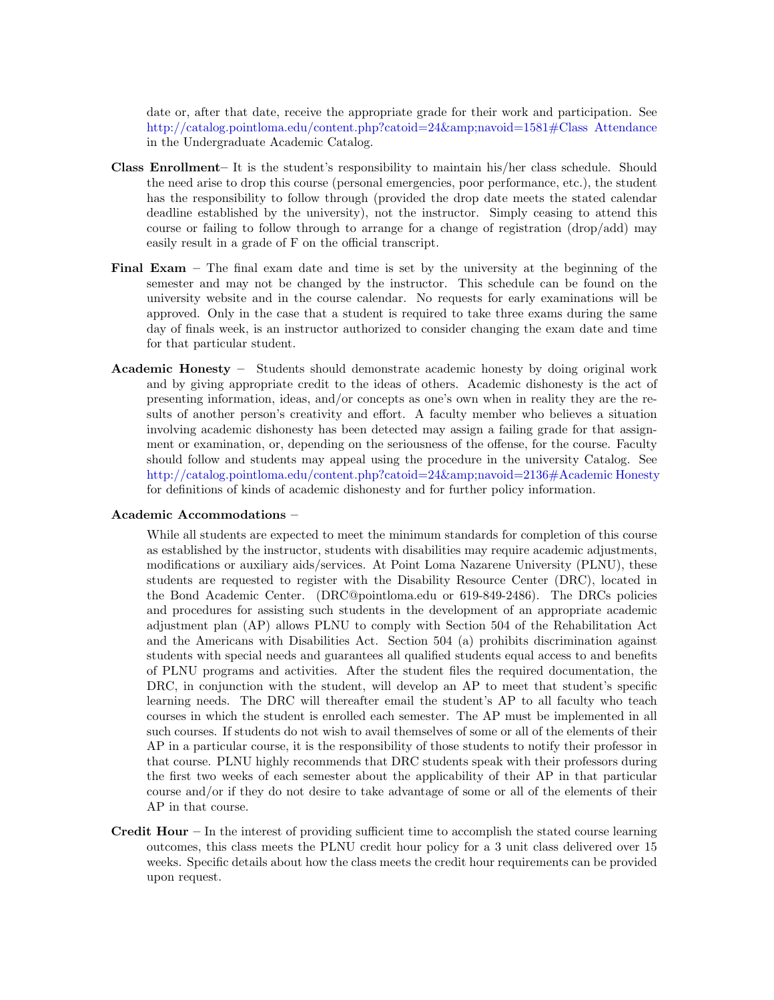date or, after that date, receive the appropriate grade for their work and participation. See [http://catalog.pointloma.edu/content.php?catoid=24&navoid=1581#Class Attendance](http://catalog.pointloma.edu/content.php?catoid=24&navoid=1581) in the Undergraduate Academic Catalog.

- Class Enrollment– It is the student's responsibility to maintain his/her class schedule. Should the need arise to drop this course (personal emergencies, poor performance, etc.), the student has the responsibility to follow through (provided the drop date meets the stated calendar deadline established by the university), not the instructor. Simply ceasing to attend this course or failing to follow through to arrange for a change of registration (drop/add) may easily result in a grade of F on the official transcript.
- Final Exam The final exam date and time is set by the university at the beginning of the semester and may not be changed by the instructor. This schedule can be found on the university website and in the course calendar. No requests for early examinations will be approved. Only in the case that a student is required to take three exams during the same day of finals week, is an instructor authorized to consider changing the exam date and time for that particular student.
- Academic Honesty Students should demonstrate academic honesty by doing original work and by giving appropriate credit to the ideas of others. Academic dishonesty is the act of presenting information, ideas, and/or concepts as one's own when in reality they are the results of another person's creativity and effort. A faculty member who believes a situation involving academic dishonesty has been detected may assign a failing grade for that assignment or examination, or, depending on the seriousness of the offense, for the course. Faculty should follow and students may appeal using the procedure in the university Catalog. See [http://catalog.pointloma.edu/content.php?catoid=24&navoid=2136#Academic Honesty](http://catalog.pointloma.edu/content.php?catoid=24&navoid=2136) for definitions of kinds of academic dishonesty and for further policy information.

## Academic Accommodations –

While all students are expected to meet the minimum standards for completion of this course as established by the instructor, students with disabilities may require academic adjustments, modifications or auxiliary aids/services. At Point Loma Nazarene University (PLNU), these students are requested to register with the Disability Resource Center (DRC), located in the Bond Academic Center. (DRC@pointloma.edu or 619-849-2486). The DRCs policies and procedures for assisting such students in the development of an appropriate academic adjustment plan (AP) allows PLNU to comply with Section 504 of the Rehabilitation Act and the Americans with Disabilities Act. Section 504 (a) prohibits discrimination against students with special needs and guarantees all qualified students equal access to and benefits of PLNU programs and activities. After the student files the required documentation, the DRC, in conjunction with the student, will develop an AP to meet that student's specific learning needs. The DRC will thereafter email the student's AP to all faculty who teach courses in which the student is enrolled each semester. The AP must be implemented in all such courses. If students do not wish to avail themselves of some or all of the elements of their AP in a particular course, it is the responsibility of those students to notify their professor in that course. PLNU highly recommends that DRC students speak with their professors during the first two weeks of each semester about the applicability of their AP in that particular course and/or if they do not desire to take advantage of some or all of the elements of their AP in that course.

**Credit Hour** – In the interest of providing sufficient time to accomplish the stated course learning outcomes, this class meets the PLNU credit hour policy for a 3 unit class delivered over 15 weeks. Specific details about how the class meets the credit hour requirements can be provided upon request.